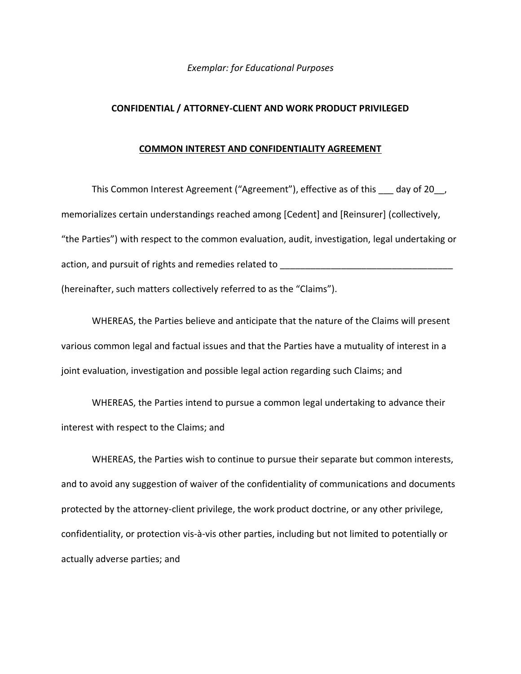## *Exemplar: for Educational Purposes*

## **CONFIDENTIAL / ATTORNEY-CLIENT AND WORK PRODUCT PRIVILEGED**

## **COMMON INTEREST AND CONFIDENTIALITY AGREEMENT**

This Common Interest Agreement ("Agreement"), effective as of this day of 20, memorializes certain understandings reached among [Cedent] and [Reinsurer] (collectively, "the Parties") with respect to the common evaluation, audit, investigation, legal undertaking or action, and pursuit of rights and remedies related to \_\_\_\_\_\_\_\_\_\_\_\_\_\_\_\_\_\_\_\_\_\_\_\_\_\_ (hereinafter, such matters collectively referred to as the "Claims").

WHEREAS, the Parties believe and anticipate that the nature of the Claims will present various common legal and factual issues and that the Parties have a mutuality of interest in a joint evaluation, investigation and possible legal action regarding such Claims; and

WHEREAS, the Parties intend to pursue a common legal undertaking to advance their interest with respect to the Claims; and

WHEREAS, the Parties wish to continue to pursue their separate but common interests, and to avoid any suggestion of waiver of the confidentiality of communications and documents protected by the attorney-client privilege, the work product doctrine, or any other privilege, confidentiality, or protection vis-à-vis other parties, including but not limited to potentially or actually adverse parties; and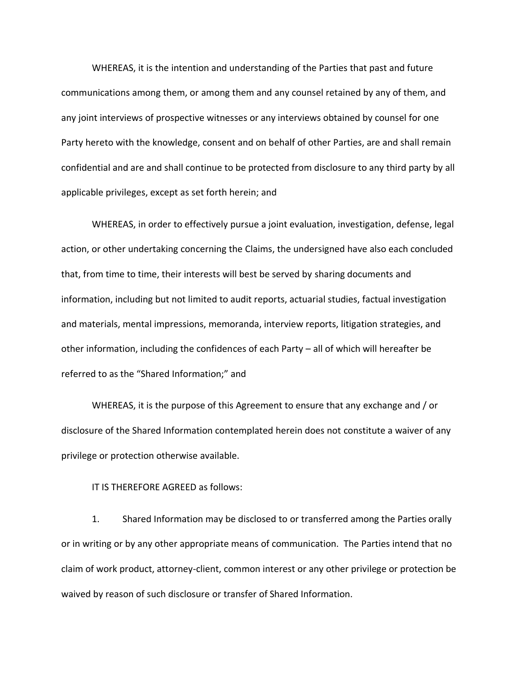WHEREAS, it is the intention and understanding of the Parties that past and future communications among them, or among them and any counsel retained by any of them, and any joint interviews of prospective witnesses or any interviews obtained by counsel for one Party hereto with the knowledge, consent and on behalf of other Parties, are and shall remain confidential and are and shall continue to be protected from disclosure to any third party by all applicable privileges, except as set forth herein; and

WHEREAS, in order to effectively pursue a joint evaluation, investigation, defense, legal action, or other undertaking concerning the Claims, the undersigned have also each concluded that, from time to time, their interests will best be served by sharing documents and information, including but not limited to audit reports, actuarial studies, factual investigation and materials, mental impressions, memoranda, interview reports, litigation strategies, and other information, including the confidences of each Party – all of which will hereafter be referred to as the "Shared Information;" and

WHEREAS, it is the purpose of this Agreement to ensure that any exchange and / or disclosure of the Shared Information contemplated herein does not constitute a waiver of any privilege or protection otherwise available.

IT IS THEREFORE AGREED as follows:

1. Shared Information may be disclosed to or transferred among the Parties orally or in writing or by any other appropriate means of communication. The Parties intend that no claim of work product, attorney-client, common interest or any other privilege or protection be waived by reason of such disclosure or transfer of Shared Information.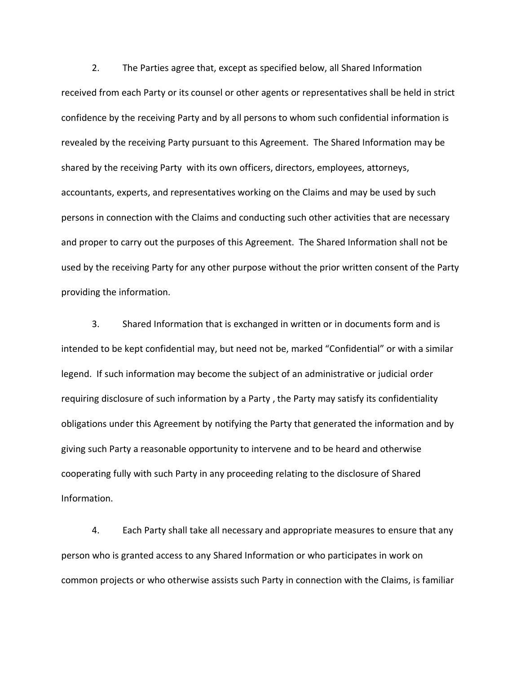2. The Parties agree that, except as specified below, all Shared Information received from each Party or its counsel or other agents or representatives shall be held in strict confidence by the receiving Party and by all persons to whom such confidential information is revealed by the receiving Party pursuant to this Agreement. The Shared Information may be shared by the receiving Party with its own officers, directors, employees, attorneys, accountants, experts, and representatives working on the Claims and may be used by such persons in connection with the Claims and conducting such other activities that are necessary and proper to carry out the purposes of this Agreement. The Shared Information shall not be used by the receiving Party for any other purpose without the prior written consent of the Party providing the information.

3. Shared Information that is exchanged in written or in documents form and is intended to be kept confidential may, but need not be, marked "Confidential" or with a similar legend. If such information may become the subject of an administrative or judicial order requiring disclosure of such information by a Party , the Party may satisfy its confidentiality obligations under this Agreement by notifying the Party that generated the information and by giving such Party a reasonable opportunity to intervene and to be heard and otherwise cooperating fully with such Party in any proceeding relating to the disclosure of Shared Information.

4. Each Party shall take all necessary and appropriate measures to ensure that any person who is granted access to any Shared Information or who participates in work on common projects or who otherwise assists such Party in connection with the Claims, is familiar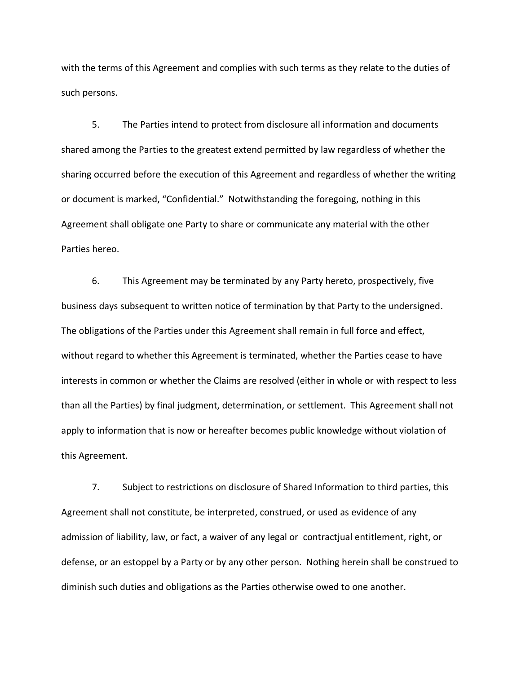with the terms of this Agreement and complies with such terms as they relate to the duties of such persons.

5. The Parties intend to protect from disclosure all information and documents shared among the Parties to the greatest extend permitted by law regardless of whether the sharing occurred before the execution of this Agreement and regardless of whether the writing or document is marked, "Confidential." Notwithstanding the foregoing, nothing in this Agreement shall obligate one Party to share or communicate any material with the other Parties hereo.

6. This Agreement may be terminated by any Party hereto, prospectively, five business days subsequent to written notice of termination by that Party to the undersigned. The obligations of the Parties under this Agreement shall remain in full force and effect, without regard to whether this Agreement is terminated, whether the Parties cease to have interests in common or whether the Claims are resolved (either in whole or with respect to less than all the Parties) by final judgment, determination, or settlement. This Agreement shall not apply to information that is now or hereafter becomes public knowledge without violation of this Agreement.

7. Subject to restrictions on disclosure of Shared Information to third parties, this Agreement shall not constitute, be interpreted, construed, or used as evidence of any admission of liability, law, or fact, a waiver of any legal or contractjual entitlement, right, or defense, or an estoppel by a Party or by any other person. Nothing herein shall be construed to diminish such duties and obligations as the Parties otherwise owed to one another.